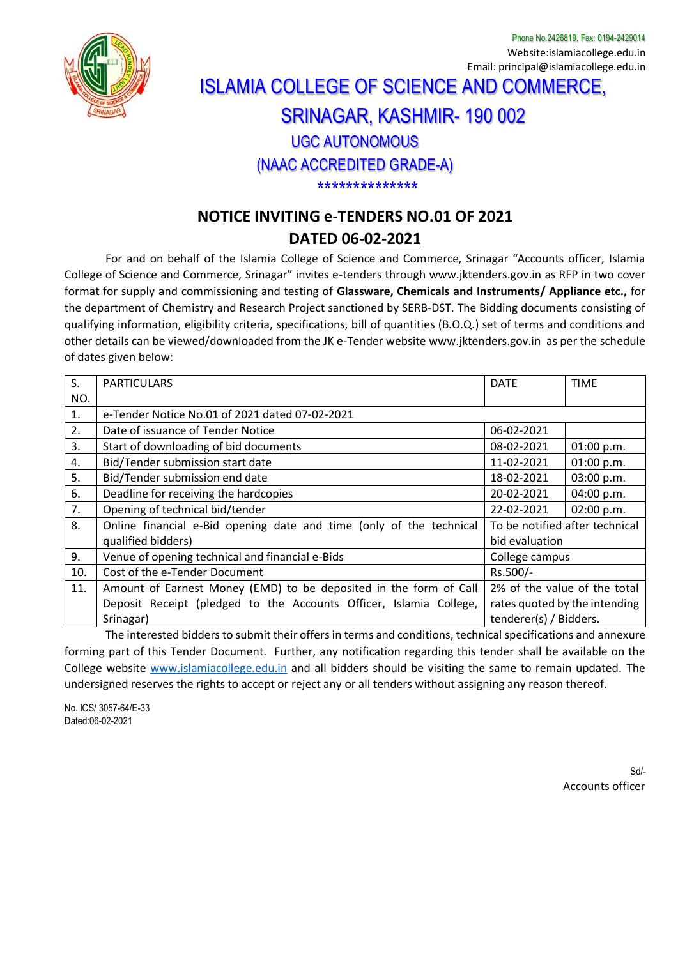

Phone No.2426819, Fax: 0194-2429014 Website:islamiacollege.edu.in Email: principal@islamiacollege.edu.in

# ISLAMIA COLLEGE OF SCIENCE AND COMMERCE, SRINAGAR, KASHMIR- 190 002

## UGC AUTONOMOUS

#### (NAAC ACCREDITED GRADE-A)

\*\*\*\*\*\*\*\*\*\*\*\*\*\*

### **NOTICE INVITING e-TENDERS NO.01 OF 2021**

#### **DATED 06-02-2021**

For and on behalf of the Islamia College of Science and Commerce, Srinagar "Accounts officer, Islamia College of Science and Commerce, Srinagar" invites e-tenders through [www.jktenders.gov.in](http://www.jktenders.gov.in/) as RFP in two cover format for supply and commissioning and testing of **Glassware, Chemicals and Instruments/ Appliance etc.,** for the department of Chemistry and Research Project sanctioned by SERB-DST. The Bidding documents consisting of qualifying information, eligibility criteria, specifications, bill of quantities (B.O.Q.) set of terms and conditions and other details can be viewed/downloaded from the JK e-Tender website [www.jktenders.gov.in](http://www.jktenders.gov.in/) as per the schedule of dates given below:

| S.                                                                                                           | <b>PARTICULARS</b>                                                  | <b>DATE</b>                    | <b>TIME</b> |
|--------------------------------------------------------------------------------------------------------------|---------------------------------------------------------------------|--------------------------------|-------------|
| NO.                                                                                                          |                                                                     |                                |             |
| $\mathbf{1}$ .                                                                                               | e-Tender Notice No.01 of 2021 dated 07-02-2021                      |                                |             |
| 2.                                                                                                           | Date of issuance of Tender Notice                                   | 06-02-2021                     |             |
| 3.                                                                                                           | Start of downloading of bid documents                               | 08-02-2021                     | 01:00 p.m.  |
| 4.                                                                                                           | Bid/Tender submission start date                                    | 11-02-2021                     | 01:00 p.m.  |
| 5.                                                                                                           | Bid/Tender submission end date                                      | 18-02-2021                     | 03:00 p.m.  |
| 6.                                                                                                           | Deadline for receiving the hardcopies                               | 20-02-2021                     | 04:00 p.m.  |
| 7.                                                                                                           | Opening of technical bid/tender                                     | 22-02-2021                     | 02:00 p.m.  |
| 8.                                                                                                           | Online financial e-Bid opening date and time (only of the technical | To be notified after technical |             |
|                                                                                                              | qualified bidders)                                                  | bid evaluation                 |             |
| 9.                                                                                                           | Venue of opening technical and financial e-Bids                     | College campus                 |             |
| 10.                                                                                                          | Cost of the e-Tender Document                                       | Rs.500/-                       |             |
| 11.                                                                                                          | Amount of Earnest Money (EMD) to be deposited in the form of Call   | 2% of the value of the total   |             |
|                                                                                                              | Deposit Receipt (pledged to the Accounts Officer, Islamia College,  | rates quoted by the intending  |             |
|                                                                                                              | Srinagar)                                                           | tenderer(s) / Bidders.         |             |
| The interested hidders to submit their offers in terms and conditions, technical specifications and annexure |                                                                     |                                |             |

The interested bidders to submit their offers in terms and conditions, technical specifications and annexure forming part of this Tender Document. Further, any notification regarding this tender shall be available on the College website [www.islamiacollege.edu.in](http://www.islamiacollege.edu.in/) and all bidders should be visiting the same to remain updated. The undersigned reserves the rights to accept or reject any or all tenders without assigning any reason thereof.

No. ICS/ 3057-64/E-33 Dated:06-02-2021

> Sd/- Accounts officer